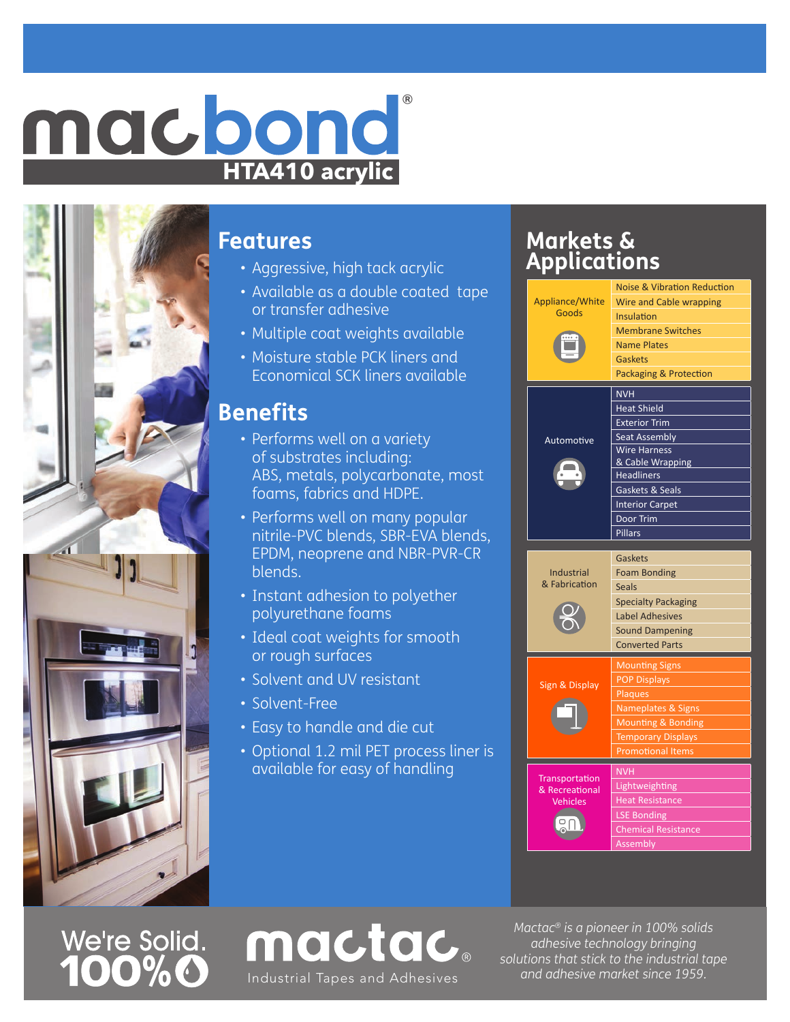## **HTA410 acrylic** macbond

### **Features**

- Aggressive, high tack acrylic
- Available as a double coated tape or transfer adhesive
- Multiple coat weights available
- Moisture stable PCK liners and Economical SCK liners available

### **Benefits**

- Performs well on a variety of substrates including: ABS, metals, polycarbonate, most foams, fabrics and HDPE.
- Performs well on many popular nitrile-PVC blends, SBR-EVA blends, EPDM, neoprene and NBR-PVR-CR blends.
- Instant adhesion to polyether polyurethane foams
- Ideal coat weights for smooth or rough surfaces
- Solvent and UV resistant
- Solvent-Free
- Easy to handle and die cut
- Optional 1.2 mil PET process liner is available for easy of handling

mactac.

### **Markets & Applications**



# We're Solid.<br>**100% O**

*Mactac® is a pioneer in 100% solids adhesive technology bringing solutions that stick to the industrial tape and adhesive market since 1959.* Industrial Tapes and Adhesives